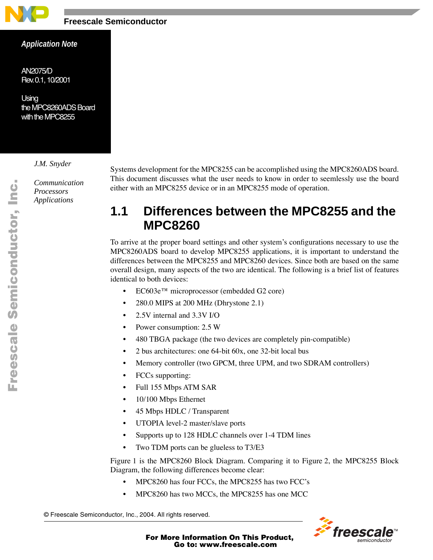

### *Application Note*

*AN2075/D Rev. 0.1, 10/2001*

*Using the MPC8260ADS Board with the MPC8255* 

### *J.M. Snyder*

*Communication Processors Applications*

Systems development for the MPC8255 can be accomplished using the MPC8260ADS board. This document discusses what the user needs to know in order to seemlessly use the board either with an MPC8255 device or in an MPC8255 mode of operation.

# **1.1 Differences between the MPC8255 and the MPC8260**

To arrive at the proper board settings and other system's configurations necessary to use the MPC8260ADS board to develop MPC8255 applications, it is important to understand the differences between the MPC8255 and MPC8260 devices. Since both are based on the same overall design, many aspects of the two are identical. The following is a brief list of features identical to both devices:

- EC603e™ microprocessor (embedded G2 core)
- 280.0 MIPS at 200 MHz (Dhrystone 2.1)
- 2.5V internal and 3.3V I/O
- Power consumption: 2.5 W
- 480 TBGA package (the two devices are completely pin-compatible)
- 2 bus architectures: one 64-bit 60x, one 32-bit local bus
- Memory controller (two GPCM, three UPM, and two SDRAM controllers)
- FCCs supporting:
- Full 155 Mbps ATM SAR
- 10/100 Mbps Ethernet
- 45 Mbps HDLC / Transparent
- UTOPIA level-2 master/slave ports
- Supports up to 128 HDLC channels over 1-4 TDM lines
- Two TDM ports can be glueless to T3/E3

Figure 1 is the MPC8260 Block Diagram. Comparing it to Figure 2, the MPC8255 Block Diagram, the following differences become clear:

- MPC8260 has four FCCs, the MPC8255 has two FCC's
- MPC8260 has two MCCs, the MPC8255 has one MCC

© Freescale Semiconductor, Inc., 2004. All rights reserved.



For More Information On This Product, Go to: www.freescale.com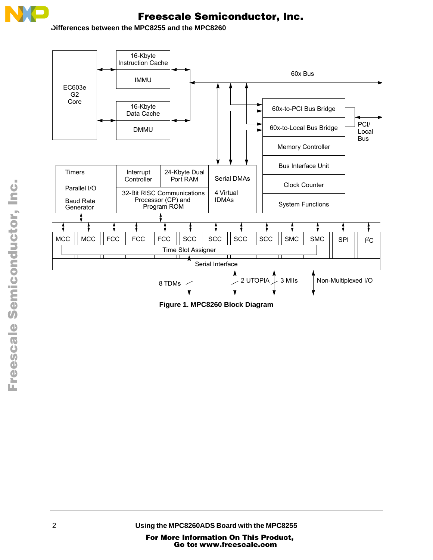

**Differences between the MPC8255 and the MPC8260** 



**Figure 1. MPC8260 Block Diagram**

2 **Using the MPC8260ADS Board with the MPC8255**

n

.<br>ق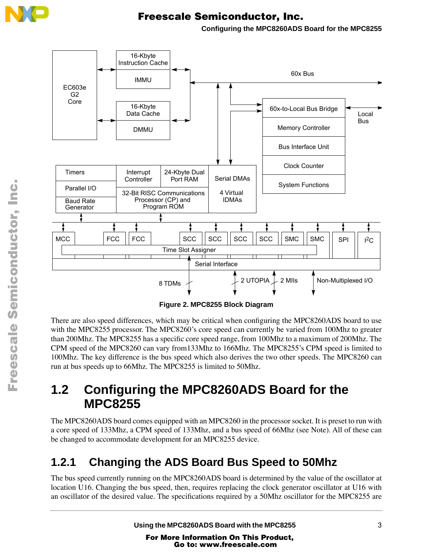

**Configuring the MPC8260ADS Board for the MPC8255**



**Figure 2. MPC8255 Block Diagram**

There are also speed differences, which may be critical when configuring the MPC8260ADS board to use with the MPC8255 processor. The MPC8260's core speed can currently be varied from 100Mhz to greater than 200Mhz. The MPC8255 has a specific core speed range, from 100Mhz to a maximum of 200Mhz. The CPM speed of the MPC8260 can vary from133Mhz to 166Mhz. The MPC8255's CPM speed is limited to 100Mhz. The key difference is the bus speed which also derives the two other speeds. The MPC8260 can run at bus speeds up to 66Mhz. The MPC8255 is limited to 50Mhz.

# **1.2 Configuring the MPC8260ADS Board for the MPC8255**

The MPC8260ADS board comes equipped with an MPC8260 in the processor socket. It is preset to run with a core speed of 133Mhz, a CPM speed of 133Mhz, and a bus speed of 66Mhz (see Note). All of these can be changed to accommodate development for an MPC8255 device.

# **1.2.1 Changing the ADS Board Bus Speed to 50Mhz**

The bus speed currently running on the MPC8260ADS board is determined by the value of the oscillator at location U16. Changing the bus speed, then, requires replacing the clock generator oscillator at U16 with an oscillator of the desired value. The specifications required by a 50Mhz oscillator for the MPC8255 are

Using the MPC8260ADS Board with the MPC8255 3

For More Information On This Product, Go to: www.freescale.com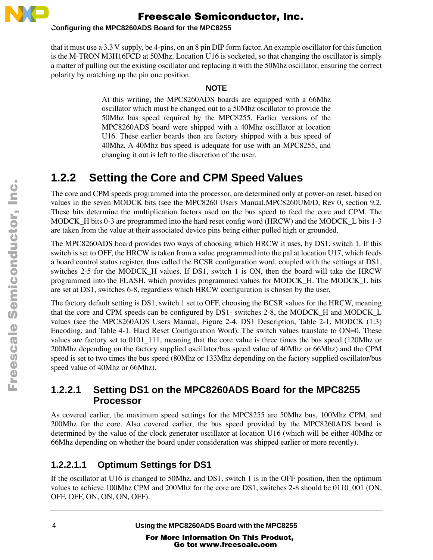

### **Configuring the MPC8260ADS Board for the MPC8255**

that it must use a 3.3 V supply, be 4-pins, on an 8 pin DIP form factor. An example oscillator for this function is the M-TRON M3H16FCD at 50Mhz. Location U16 is socketed, so that changing the oscillator is simply a matter of pulling out the existing oscillator and replacing it with the 50Mhz oscillator, ensuring the correct polarity by matching up the pin one position.

### **NOTE**

At this writing, the MPC8260ADS boards are equipped with a 66Mhz oscillator which must be changed out to a 50Mhz oscillator to provide the 50Mhz bus speed required by the MPC8255. Earlier versions of the MPC8260ADS board were shipped with a 40Mhz oscillator at location U16. These earlier boards then are factory shipped with a bus speed of 40Mhz. A 40Mhz bus speed is adequate for use with an MPC8255, and changing it out is left to the discretion of the user.

# **1.2.2 Setting the Core and CPM Speed Values**

The core and CPM speeds programmed into the processor, are determined only at power-on reset, based on values in the seven MODCK bits (see the MPC8260 Users Manual,MPC8260UM/D, Rev 0, section 9.2. These bits determine the multiplication factors used on the bus speed to feed the core and CPM. The MODCK H bits 0-3 are programmed into the hard reset config word (HRCW) and the MODCK L bits 1-3 are taken from the value at their associated device pins being either pulled high or grounded.

The MPC8260ADS board provides two ways of choosing which HRCW it uses, by DS1, switch 1. If this switch is set to OFF, the HRCW is taken from a value programmed into the pal at location U17, which feeds a board control status register, thus called the BCSR configuration word, coupled with the settings at DS1, switches 2-5 for the MODCK\_H values. If DS1, switch 1 is ON, then the board will take the HRCW programmed into the FLASH, which provides programmed values for MODCK\_H. The MODCK\_L bits are set at DS1, switches 6-8, regardless which HRCW configuration is chosen by the user.

The factory default setting is DS1, switch 1 set to OFF, choosing the BCSR values for the HRCW, meaning that the core and CPM speeds can be configured by DS1- switches 2-8, the MODCK\_H and MODCK\_L values (see the MPC8260ADS Users Manual, Figure 2-4. DS1 Description, Table 2-1, MODCK (1:3) Encoding, and Table 4-1. Hard Reset Configuration Word). The switch values translate to ON=0. These values are factory set to 0101\_111, meaning that the core value is three times the bus speed (120Mhz or 200Mhz depending on the factory supplied oscillator/bus speed value of 40Mhz or 66Mhz) and the CPM speed is set to two times the bus speed (80Mhz or 133Mhz depending on the factory supplied oscillator/bus speed value of 40Mhz or 66Mhz).

### **1.2.2.1 Setting DS1 on the MPC8260ADS Board for the MPC8255 Processor**

As covered earlier, the maximum speed settings for the MPC8255 are 50Mhz bus, 100Mhz CPM, and 200Mhz for the core. Also covered earlier, the bus speed provided by the MPC8260ADS board is determined by the value of the clock generator oscillator at location U16 (which will be either 40Mhz or 66Mhz depending on whether the board under consideration was shipped earlier or more recently).

## **1.2.2.1.1 Optimum Settings for DS1**

If the oscillator at U16 is changed to 50Mhz, and DS1, switch 1 is in the OFF position, then the optimum values to achieve 100Mhz CPM and 200Mhz for the core are DS1, switches 2-8 should be 0110\_001 (ON, OFF, OFF, ON, ON, ON, OFF).

4 **Using the MPC8260ADS Board with the MPC8255**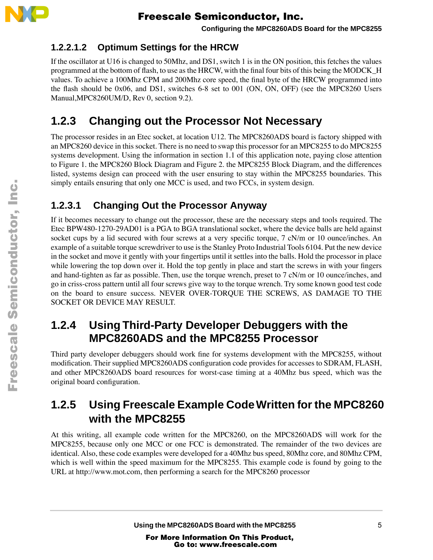

**Configuring the MPC8260ADS Board for the MPC8255**

### **1.2.2.1.2 Optimum Settings for the HRCW**

If the oscillator at U16 is changed to 50Mhz, and DS1, switch 1 is in the ON position, this fetches the values programmed at the bottom of flash, to use as the HRCW, with the final four bits of this being the MODCK\_H values. To achieve a 100Mhz CPM and 200Mhz core speed, the final byte of the HRCW programmed into the flash should be 0x06, and DS1, switches 6-8 set to 001 (ON, ON, OFF) (see the MPC8260 Users Manual,MPC8260UM/D, Rev 0, section 9.2).

# **1.2.3 Changing out the Processor Not Necessary**

The processor resides in an Etec socket, at location U12. The MPC8260ADS board is factory shipped with an MPC8260 device in this socket. There is no need to swap this processor for an MPC8255 to do MPC8255 systems development. Using the information in section 1.1 of this application note, paying close attention to Figure 1. the MPC8260 Block Diagram and Figure 2. the MPC8255 Block Diagram, and the differences listed, systems design can proceed with the user ensuring to stay within the MPC8255 boundaries. This simply entails ensuring that only one MCC is used, and two FCCs, in system design.

## **1.2.3.1 Changing Out the Processor Anyway**

If it becomes necessary to change out the processor, these are the necessary steps and tools required. The Etec BPW480-1270-29AD01 is a PGA to BGA translational socket, where the device balls are held against socket cups by a lid secured with four screws at a very specific torque, 7 cN/m or 10 ounce/inches. An example of a suitable torque screwdriver to use is the Stanley Proto Industrial Tools 6104. Put the new device in the socket and move it gently with your fingertips until it settles into the balls. Hold the processor in place while lowering the top down over it. Hold the top gently in place and start the screws in with your fingers and hand-tighten as far as possible. Then, use the torque wrench, preset to 7 cN/m or 10 ounce/inches, and go in criss-cross pattern until all four screws give way to the torque wrench. Try some known good test code on the board to ensure success. NEVER OVER-TORQUE THE SCREWS, AS DAMAGE TO THE SOCKET OR DEVICE MAY RESULT.

## **1.2.4 Using Third-Party Developer Debuggers with the MPC8260ADS and the MPC8255 Processor**

Third party developer debuggers should work fine for systems development with the MPC8255, without modification. Their supplied MPC8260ADS configuration code provides for accesses to SDRAM, FLASH, and other MPC8260ADS board resources for worst-case timing at a 40Mhz bus speed, which was the original board configuration.

# **1.2.5 Using Freescale Example Code Written for the MPC8260 with the MPC8255**

At this writing, all example code written for the MPC8260, on the MPC8260ADS will work for the MPC8255, because only one MCC or one FCC is demonstrated. The remainder of the two devices are identical. Also, these code examples were developed for a 40Mhz bus speed, 80Mhz core, and 80Mhz CPM, which is well within the speed maximum for the MPC8255. This example code is found by going to the URL at http://www.mot.com, then performing a search for the MPC8260 processor